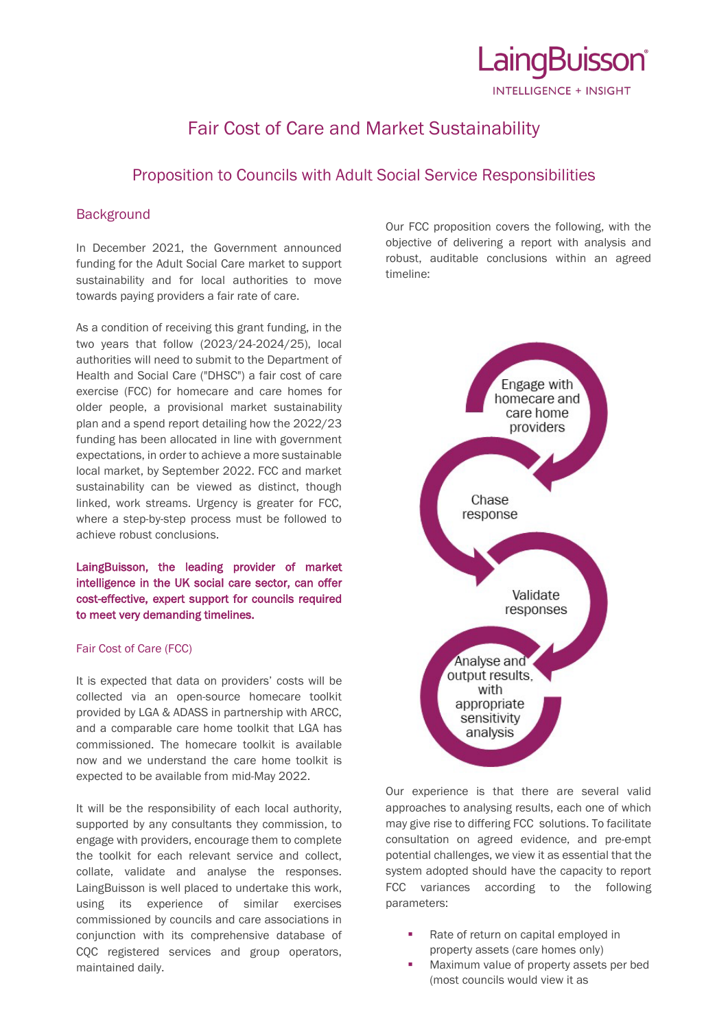

# Fair Cost of Care and Market Sustainability

## Proposition to Councils with Adult Social Service Responsibilities

### **Background**

In December 2021, the Government announced funding for the Adult Social Care market to support sustainability and for local authorities to move towards paying providers a fair rate of care.

As a condition of receiving this grant funding, in the two years that follow (2023/24-2024/25), local authorities will need to submit to the Department of Health and Social Care ("DHSC") a fair cost of care exercise (FCC) for homecare and care homes for older people, a provisional market sustainability plan and a spend report detailing how the 2022/23 funding has been allocated in line with government expectations, in order to achieve a more sustainable local market, by September 2022. FCC and market sustainability can be viewed as distinct, though linked, work streams. Urgency is greater for FCC, where a step-by-step process must be followed to achieve robust conclusions.

LaingBuisson, the leading provider of market intelligence in the UK social care sector, can offer cost-effective, expert support for councils required to meet very demanding timelines.

#### Fair Cost of Care (FCC)

It is expected that data on providers' costs will be collected via an open-source homecare toolkit provided by LGA & ADASS in partnership with ARCC, and a comparable care home toolkit that LGA has commissioned. The homecare toolkit is available now and we understand the care home toolkit is expected to be available from mid-May 2022.

It will be the responsibility of each local authority, supported by any consultants they commission, to engage with providers, encourage them to complete the toolkit for each relevant service and collect, collate, validate and analyse the responses. LaingBuisson is well placed to undertake this work, using its experience of similar exercises commissioned by councils and care associations in conjunction with its comprehensive database of CQC registered services and group operators, maintained daily.

Our FCC proposition covers the following, with the objective of delivering a report with analysis and robust, auditable conclusions within an agreed timeline:



Our experience is that there are several valid approaches to analysing results, each one of which may give rise to differing FCC solutions. To facilitate consultation on agreed evidence, and pre-empt potential challenges, we view it as essential that the system adopted should have the capacity to report FCC variances according to the following parameters:

- Rate of return on capital employed in property assets (care homes only)
- Maximum value of property assets per bed (most councils would view it as